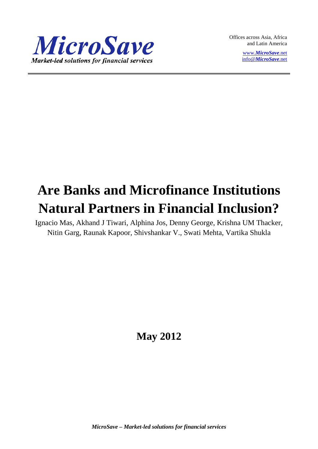

Offices across Asia, Africa and Latin America

> www.*[MicroSave](http://www.microsave.net/)*.net info@*[MicroSave](mailto:info@MicroSave.net)*.net

# **Are Banks and Microfinance Institutions Natural Partners in Financial Inclusion?**

Ignacio Mas, Akhand J Tiwari, Alphina Jos, Denny George, Krishna UM Thacker, Nitin Garg, Raunak Kapoor, Shivshankar V., Swati Mehta, Vartika Shukla

**May 2012**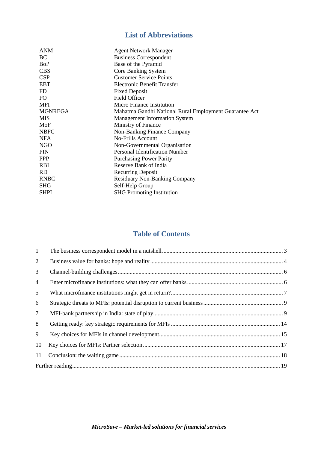# **List of Abbreviations**

| <b>ANM</b>     | <b>Agent Network Manager</b>                           |
|----------------|--------------------------------------------------------|
| BС             | <b>Business Correspondent</b>                          |
| BoP            | Base of the Pyramid                                    |
| <b>CBS</b>     | Core Banking System                                    |
| <b>CSP</b>     | <b>Customer Service Points</b>                         |
| <b>EBT</b>     | Electronic Benefit Transfer                            |
| FD             | <b>Fixed Deposit</b>                                   |
| FO             | Field Officer                                          |
| MFI            | Micro Finance Institution                              |
| <b>MGNREGA</b> | Mahatma Gandhi National Rural Employment Guarantee Act |
| MIS            | <b>Management Information System</b>                   |
| MoF            | Ministry of Finance                                    |
| <b>NBFC</b>    | Non-Banking Finance Company                            |
| NFA            | <b>No-Frills Account</b>                               |
| <b>NGO</b>     | Non-Governmental Organisation                          |
| PIN            | <b>Personal Identification Number</b>                  |
| <b>PPP</b>     | <b>Purchasing Power Parity</b>                         |
| <b>RBI</b>     | Reserve Bank of India                                  |
| RD             | <b>Recurring Deposit</b>                               |
| <b>RNBC</b>    | <b>Residuary Non-Banking Company</b>                   |
| <b>SHG</b>     | Self-Help Group                                        |
| <b>SHPI</b>    | <b>SHG</b> Promoting Institution                       |
|                |                                                        |

# **Table of Contents**

<span id="page-1-0"></span>

| $\mathbf{1}$   |  |
|----------------|--|
| 2              |  |
| 3              |  |
| $\overline{4}$ |  |
| 5              |  |
| 6              |  |
| $\tau$         |  |
| 8              |  |
| 9              |  |
| 10             |  |
| 11             |  |
|                |  |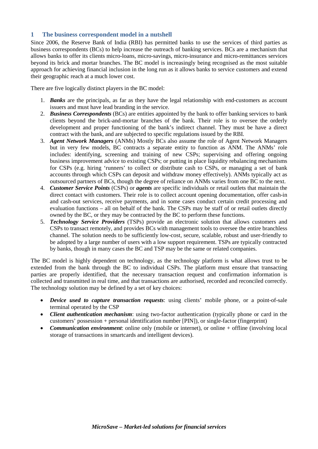#### **1 The business correspondent model in a nutshell**

Since 2006, the Reserve Bank of India (RBI) has permitted banks to use the services of third parties as business correspondents (BCs) to help increase the outreach of banking services. BCs are a mechanism that allows banks to offer its clients micro-loans, micro-savings, micro-insurance and micro-remittances services beyond its brick and mortar branches. The BC model is increasingly being recognised as the most suitable approach for achieving financial inclusion in the long run as it allows banks to service customers and extend their geographic reach at a much lower cost.

There are five logically distinct players in the BC model:

- 1. *Banks* are the principals, as far as they have the legal relationship with end-customers as account issuers and must have lead branding in the service.
- 2. *Business Correspondents* (BCs) are entities appointed by the bank to offer banking services to bank clients beyond the brick-and-mortar branches of the bank. Their role is to oversee the orderly development and proper functioning of the bank's indirect channel. They must be have a direct contract with the bank, and are subjected to specific regulations issued by the RBI.
- 3. *Agent Network Managers* (ANMs) Mostly BCs also assume the role of Agent Network Managers but in very few models, BC contracts a separate entity to function as ANM. The ANMs' role includes: identifying, screening and training of new CSPs; supervising and offering ongoing business improvement advice to existing CSPs; or putting in place liquidity rebalancing mechanisms for CSPs (e.g. hiring 'runners' to collect or distribute cash to CSPs, or managing a set of bank accounts through which CSPs can deposit and withdraw money effectively). ANMs typically act as outsourced partners of BCs, though the degree of reliance on ANMs varies from one BC to the next.
- 4. *Customer Service Points* (CSPs) or *agents* are specific individuals or retail outlets that maintain the direct contact with customers. Their role is to collect account opening documentation, offer cash-in and cash-out services, receive payments, and in some cases conduct certain credit processing and evaluation functions – all on behalf of the bank. The CSPs may be staff of or retail outlets directly owned by the BC, or they may be contracted by the BC to perform these functions.
- 5. *Technology Service Providers* (TSPs) provide an electronic solution that allows customers and CSPs to transact remotely, and provides BCs with management tools to oversee the entire branchless channel. The solution needs to be sufficiently low-cost, secure, scalable, robust and user-friendly to be adopted by a large number of users with a low support requirement. TSPs are typically contracted by banks, though in many cases the BC and TSP may be the same or related companies.

The BC model is highly dependent on technology, as the technology platform is what allows trust to be extended from the bank through the BC to individual CSPs. The platform must ensure that transacting parties are properly identified, that the necessary transaction request and confirmation information is collected and transmitted in real time, and that transactions are authorised, recorded and reconciled correctly. The technology solution may be defined by a set of key choices:

- *Device used to capture transaction requests*: using clients' mobile phone, or a point-of-sale terminal operated by the CSP
- *Client authentication mechanism*: using two-factor authentication (typically phone or card in the customers' possession + personal identification number [PIN]), or single-factor (fingerprint)
- *Communication environment*: online only (mobile or internet), or online + offline (involving local storage of transactions in smartcards and intelligent devices).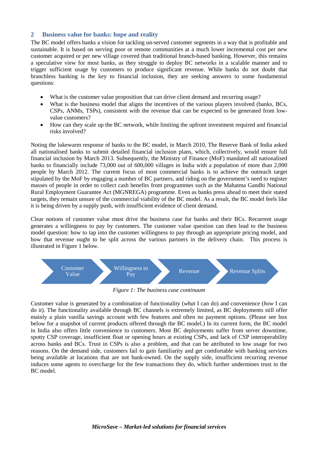#### **2 Business value for banks: hope and reality**

<span id="page-3-0"></span>The BC model offers banks a vision for tackling un-served customer segments in a way that is profitable and sustainable. It is based on serving poor or remote communities at a much lower incremental cost per new customer acquired or per new village covered than traditional branch-based banking. However, this remains a speculative view for most banks, as they struggle to deploy BC networks in a scalable manner and to trigger sufficient usage by customers to produce significant revenue. While banks do not doubt that branchless banking is the key to financial inclusion, they are seeking answers to some fundamental questions:

- What is the customer value proposition that can drive client demand and recurring usage?
- What is the business model that aligns the incentives of the various players involved (banks, BCs, CSPs, ANMs, TSPs), consistent with the revenue that can be expected to be generated from lowvalue customers?
- How can they scale up the BC network, while limiting the upfront investment required and financial risks involved?

Noting the lukewarm response of banks to the BC model, in March 2010, The Reserve Bank of India asked all nationalised banks to submit detailed financial inclusion plans, which, collectively, would ensure full financial inclusion by March 2013. Subsequently, the Ministry of Finance (MoF) mandated all nationalised banks to financially include 73,000 out of 600,000 villages in India with a population of more than 2,000 people by March 2012. The current focus of most commercial banks is to achieve the outreach target stipulated by the MoF by engaging a number of BC partners, and riding on the government's need to register masses of people in order to collect cash benefits from programmes such as the Mahatma Gandhi National Rural Employment Guarantee Act (MGNREGA) programme. Even as banks press ahead to meet their stated targets, they remain unsure of the commercial viability of the BC model. As a result, the BC model feels like it is being driven by a supply push, with insufficient evidence of client demand.

Clear notions of customer value must drive the business case for banks and their BCs. Recurrent usage generates a willingness to pay by customers. The customer value question can then lead to the business model question: how to tap into the customer willingness to pay through an appropriate pricing model, and how that revenue ought to be split across the various partners in the delivery chain. This process is illustrated in Figure 1 below.



*Figure 1: The business case continuum*

Customer value is generated by a combination of functionality (*what* I can do) and convenience (*how* I can do it). The functionality available through BC channels is extremely limited, as BC deployments still offer mainly a plain vanilla savings account with few features and often no payment options. (Please see box below for a snapshot of current products offered through the BC model.) In its current form, the BC model in India also offers little convenience to customers. Most BC deployments suffer from server downtime, spotty CSP coverage, insufficient float or opening hours at existing CSPs, and lack of CSP interoperability across banks and BCs. Trust in CSPs is also a problem, and that can be attributed to low usage for two reasons. On the demand side, customers fail to gain familiarity and get comfortable with banking services being available at locations that are not bank-owned. On the supply side, insufficient recurring revenue induces some agents to overcharge for the few transactions they do, which further undermines trust in the BC model.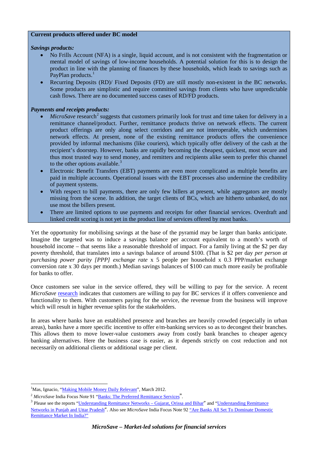#### **Current products offered under BC model**

#### *Savings products:*

- No Frills Account (NFA) is a single, liquid account, and is not consistent with the fragmentation or mental model of savings of low-income households. A potential solution for this is to design the product in line with the planning of finances by these households, which leads to savings such as PayPlan products.<sup>[1](#page-4-0)</sup>
- Recurring Deposits (RD)/ Fixed Deposits (FD) are still mostly non-existent in the BC networks. Some products are simplistic and require committed savings from clients who have unpredictable cash flows. There are no documented success cases of RD/FD products.

#### *Payments and receipts products:*

- *MicroSave* research<sup>[2](#page-4-1)</sup> suggests that customers primarily look for trust and time taken for delivery in a remittance channel/product. Further, remittance products thrive on network effects. The current product offerings are only along select corridors and are not interoperable, which undermines network effects. At present, none of the existing remittance products offers the convenience provided by informal mechanisms (like couriers), which typically offer delivery of the cash at the recipient's doorstep. However, banks are rapidly becoming the cheapest, quickest, most secure and thus most trusted way to send money, and remitters and recipients alike seem to prefer this channel to the other options available. $3$
- Electronic Benefit Transfers (EBT) payments are even more complicated as multiple benefits are paid in multiple accounts. Operational issues with the EBT processes also undermine the credibility of payment systems.
- With respect to bill payments, there are only few billers at present, while aggregators are mostly missing from the scene. In addition, the target clients of BCs, which are hitherto unbanked, do not use most the billers present.
- There are limited options to use payments and receipts for other financial services. Overdraft and linked credit scoring is not yet in the product line of services offered by most banks.

Yet the opportunity for mobilising savings at the base of the pyramid may be larger than banks anticipate. Imagine the targeted was to induce a savings balance per account equivalent to a month's worth of household income – that seems like a reasonable threshold of impact. For a family living at the \$2 per day poverty threshold, that translates into a savings balance of around \$100. (That is \$2 per day *per person at purchasing power parity [PPP] exchange rate* x 5 people per household x 0.3 PPP/market exchange conversion rate x 30 days per month.) Median savings balances of \$100 can much more easily be profitable for banks to offer.

Once customers see value in the service offered, they will be willing to pay for the service. A recent *MicroSave* [research](http://www.microsave.org/sites/default/files/research_papers/CWP_Overview.pdf) indicates that customers are willing to pay for BC services if it offers convenience and functionality to them. With customers paying for the service, the revenue from the business will improve which will result in higher revenue splits for the stakeholders.

In areas where banks have an established presence and branches are heavily crowded (especially in urban areas), banks have a more specific incentive to offer e/m-banking services so as to decongest their branches. This allows them to move lower-value customers away from costly bank branches to cheaper agency banking alternatives. Here the business case is easier, as it depends strictly on cost reduction and not necessarily on additional clients or additional usage per client.

 $\overline{a}$ <sup>1</sup>Mas, Ignacio, "*Making Mobile Money Daily Relevant*", March 2012.

<span id="page-4-2"></span><span id="page-4-1"></span><span id="page-4-0"></span>

<sup>&</sup>lt;sup>2</sup> *MicroSave* India Focus Note 91 "<u>Banks: The Preferred Remittance Services</u>".<br><sup>3</sup> Please see the reports "<u>Understanding Remittance Networks – Gujarat, Orissa and Bihar</u>" and "<u>Understanding Remittance</u> [Networks in Punjab and Uttar Pradesh](http://www.microsave.net/sites/default/files/research_papers/Understanding_Remittance_Networks_in_Punjab_and_UP.pdf)". Also see *MicroSave* India Focus Note 92 ["Are Banks All Set To Dominate Domestic](http://www.microsave.org/sites/files/technicalBriefs/indiaFocusNotes/IFN_92_Remitting_the_Indian_Way.pdf)  [Remittance Market In India?"](http://www.microsave.org/sites/files/technicalBriefs/indiaFocusNotes/IFN_92_Remitting_the_Indian_Way.pdf)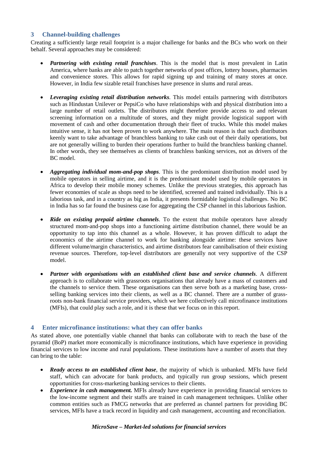## **3 Channel-building challenges**

<span id="page-5-0"></span>Creating a sufficiently large retail footprint is a major challenge for banks and the BCs who work on their behalf. Several approaches may be considered:

- *Partnering with existing retail franchises*. This is the model that is most prevalent in Latin America, where banks are able to patch together networks of post offices, lottery houses, pharmacies and convenience stores. This allows for rapid signing up and training of many stores at once. However, in India few sizable retail franchises have presence in slums and rural areas.
- *Leveraging existing retail distribution networks*. This model entails partnering with distributors such as Hindustan Unilever or PepsiCo who have relationships with and physical distribution into a large number of retail outlets. The distributors might therefore provide access to and relevant screening information on a multitude of stores, and they might provide logistical support with movement of cash and other documentation through their fleet of trucks. While this model makes intuitive sense, it has not been proven to work anywhere. The main reason is that such distributors keenly want to take advantage of branchless banking to take cash out of their daily operations, but are not generally willing to burden their operations further to build the branchless banking channel. In other words, they see themselves as clients of branchless banking services, not as drivers of the BC model.
- *Aggregating individual mom-and-pop shops*. This is the predominant distribution model used by mobile operators in selling airtime, and it is the predominant model used by mobile operators in Africa to develop their mobile money schemes. Unlike the previous strategies, this approach has fewer economies of scale as shops need to be identified, screened and trained individually. This is a laborious task, and in a country as big as India, it presents formidable logistical challenges. No BC in India has so far found the business case for aggregating the CSP channel in this laborious fashion.
- *Ride on existing prepaid airtime channels*. To the extent that mobile operators have already structured mom-and-pop shops into a functioning airtime distribution channel, there would be an opportunity to tap into this channel as a whole. However, it has proven difficult to adapt the economics of the airtime channel to work for banking alongside airtime: these services have different volume/margin characteristics, and airtime distributors fear cannibalisation of their existing revenue sources. Therefore, top-level distributors are generally not very supportive of the CSP model.
- *Partner with organisations with an established client base and service channels*. A different approach is to collaborate with grassroots organisations that already have a mass of customers and the channels to service them. These organisations can then serve both as a marketing base, crossselling banking services into their clients, as well as a BC channel. There are a number of grassroots non-bank financial service providers, which we here collectively call microfinance institutions (MFIs), that could play such a role, and it is these that we focus on in this report.

#### <span id="page-5-1"></span>**4 Enter microfinance institutions: what they can offer banks**

As stated above, one potentially viable channel that banks can collaborate with to reach the base of the pyramid (BoP) market more economically is microfinance institutions, which have experience in providing financial services to low income and rural populations. These institutions have a number of assets that they can bring to the table:

- *Ready access to an established client base*, the majority of which is unbanked. MFIs have field staff, which can advocate for bank products, and typically run group sessions, which present opportunities for cross-marketing banking services to their clients.
- *Experience in cash management.* MFIs already have experience in providing financial services to the low-income segment and their staffs are trained in cash management techniques. Unlike other common entities such as FMCG networks that are preferred as channel partners for providing BC services, MFIs have a track record in liquidity and cash management, accounting and reconciliation.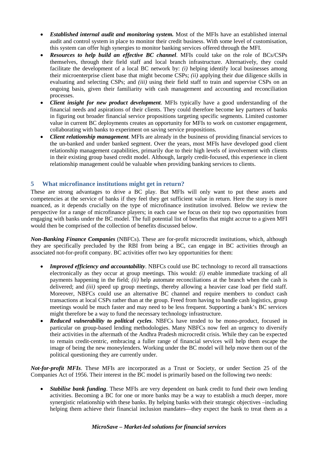- *Established internal audit and monitoring system.* Most of the MFIs have an established internal audit and control system in place to monitor their credit business. With some level of customisation, this system can offer high synergies to monitor banking services offered through the MFI.
- *Resources to help build an effective BC channel*. MFIs could take on the role of BCs/CSPs themselves, through their field staff and local branch infrastructure. Alternatively, they could facilitate the development of a local BC network by: *(i)* helping identify local businesses among their microenterprise client base that might become CSPs; *(ii)* applying their due diligence skills in evaluating and selecting CSPs; and *(iii)* using their field staff to train and supervise CSPs on an ongoing basis, given their familiarity with cash management and accounting and reconciliation processes.
- *Client insight for new product development*. MFIs typically have a good understanding of the financial needs and aspirations of their clients. They could therefore become key partners of banks in figuring out broader financial service propositions targeting specific segments. Limited customer value in current BC deployments creates an opportunity for MFIs to work on customer engagement, collaborating with banks to experiment on saving service propositions.
- *Client relationship management*. MFIs are already in the business of providing financial services to the un-banked and under banked segment. Over the years, most MFIs have developed good client relationship management capabilities, primarily due to their high levels of involvement with clients in their existing group based credit model. Although, largely credit-focused, this experience in client relationship management could be valuable when providing banking services to clients.

## <span id="page-6-0"></span>**5 What microfinance institutions might get in return?**

These are strong advantages to drive a BC play. But MFIs will only want to put these assets and competencies at the service of banks if they feel they get sufficient value in return. Here the story is more nuanced, as it depends crucially on the type of microfinance institution involved. Below we review the perspective for a range of microfinance players; in each case we focus on their top two opportunities from engaging with banks under the BC model. The full potential list of benefits that might accrue to a given MFI would then be comprised of the collection of benefits discussed below.

*Non-Banking Finance Companies* (NBFCs). These are for-profit microcredit institutions, which, although they are specifically precluded by the RBI from being a BC, can engage in BC activities through an associated not-for-profit company. BC activities offer two key opportunities for them:

- *Improved efficiency and accountability*. NBFCs could use BC technology to record all transactions electronically as they occur at group meetings. This would: *(i)* enable immediate tracking of all payments happening in the field; *(ii)* help automate reconciliations at the branch when the cash is delivered; and *(iii)* speed up group meetings, thereby allowing a heavier case load per field staff. Moreover, NBFCs could use an alternative BC channel and require members to conduct cash transactions at local CSPs rather than at the group. Freed from having to handle cash logistics, group meetings would be much faster and may need to be less frequent. Supporting a bank's BC services might therefore be a way to fund the necessary technology infrastructure.
- *Reduced vulnerability to political cycles*. NBFCs have tended to be mono-product, focused in particular on group-based lending methodologies. Many NBFCs now feel an urgency to diversify their activities in the aftermath of the Andhra Pradesh microcredit crisis. While they can be expected to remain credit-centric, embracing a fuller range of financial services will help them escape the image of being the new moneylenders. Working under the BC model will help move them out of the political questioning they are currently under.

*Not-for-profit MFIs*. These MFIs are incorporated as a Trust or Society, or under Section 25 of the Companies Act of 1956. Their interest in the BC model is primarily based on the following two needs:

• *Stabilise bank funding*. These MFIs are very dependent on bank credit to fund their own lending activities. Becoming a BC for one or more banks may be a way to establish a much deeper, more synergistic relationship with these banks. By helping banks with their strategic objectives –including helping them achieve their financial inclusion mandates—they expect the bank to treat them as a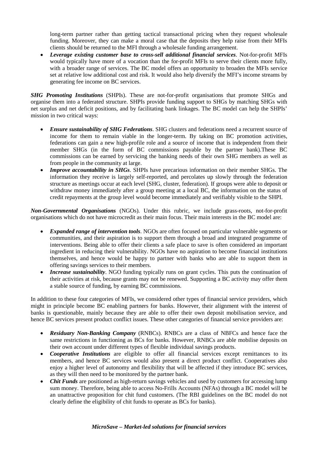long-term partner rather than getting tactical transactional pricing when they request wholesale funding. Moreover, they can make a moral case that the deposits they help raise from their MFIs clients should be returned to the MFI through a wholesale funding arrangement.

• *Leverage existing customer base to cross-sell additional financial services*. Not-for-profit MFIs would typically have more of a vocation than the for-profit MFIs to serve their clients more fully, with a broader range of services. The BC model offers an opportunity to broaden the MFIs service set at relative low additional cost and risk. It would also help diversify the MFI's income streams by generating fee income on BC services.

**SHG Promoting Institutions** (SHPIs). These are not-for-profit organisations that promote SHGs and organise them into a federated structure. SHPIs provide funding support to SHGs by matching SHGs with net surplus and net deficit positions, and by facilitating bank linkages. The BC model can help the SHPIs' mission in two critical ways:

- *Ensure sustainability of SHG Federations*. SHG clusters and federations need a recurrent source of income for them to remain viable in the longer-term. By taking on BC promotion activities, federations can gain a new high-profile role and a source of income that is independent from their member SHGs (in the form of BC commissions payable by the partner bank).These BC commissions can be earned by servicing the banking needs of their own SHG members as well as from people in the community at large.
- *Improve accountability in SHGs*. SHPIs have precarious information on their member SHGs. The information they receive is largely self-reported, and percolates up slowly through the federation structure as meetings occur at each level (SHG, cluster, federation). If groups were able to deposit or withdraw money immediately after a group meeting at a local BC, the information on the status of credit repayments at the group level would become immediately and verifiably visible to the SHPI.

*Non-Governmental Organisations* (NGOs). Under this rubric, we include grass-roots, not-for-profit organisations which do not have microcredit as their main focus. Their main interests in the BC model are:

- *Expanded range of intervention tools*. NGOs are often focused on particular vulnerable segments or communities, and their aspiration is to support them through a broad and integrated programme of interventions. Being able to offer their clients a safe place to save is often considered an important ingredient in reducing their vulnerability. NGOs have no aspiration to become financial institutions themselves, and hence would be happy to partner with banks who are able to support them in offering savings services to their members.
- *Increase sustainability*. NGO funding typically runs on grant cycles. This puts the continuation of their activities at risk, because grants may not be renewed. Supporting a BC activity may offer them a stable source of funding, by earning BC commissions.

In addition to these four categories of MFIs, we considered other types of financial service providers, which might in principle become BC enabling partners for banks. However, their alignment with the interest of banks is questionable, mainly because they are able to offer their own deposit mobilisation service, and hence BC services present product conflict issues. These other categories of financial service providers are:

- *Residuary Non-Banking Company* (RNBCs). RNBCs are a class of NBFCs and hence face the same restrictions in functioning as BCs for banks. However, RNBCs are able mobilise deposits on their own account under different types of flexible individual savings products.
- *Cooperative Institutions* are eligible to offer all financial services except remittances to its members, and hence BC services would also present a direct product conflict. Cooperatives also enjoy a higher level of autonomy and flexibility that will be affected if they introduce BC services, as they will then need to be monitored by the partner bank.
- *Chit Funds* are positioned as high-return savings vehicles and used by customers for accessing lump sum money. Therefore, being able to access No-Frills Accounts (NFAs) through a BC model will be an unattractive proposition for chit fund customers. (The RBI guidelines on the BC model do not clearly define the eligibility of chit funds to operate as BCs for banks).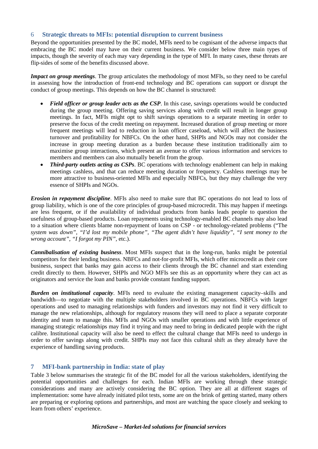#### 6 **Strategic threats to MFIs: potential disruption to current business**

<span id="page-8-0"></span>Beyond the opportunities presented by the BC model, MFIs need to be cognisant of the adverse impacts that embracing the BC model may have on their current business. We consider below three main types of impacts, though the severity of each may vary depending in the type of MFI. In many cases, these threats are flip-sides of some of the benefits discussed above.

*Impact on group meetings*. The group articulates the methodology of most MFIs, so they need to be careful in assessing how the introduction of front-end technology and BC operations can support or disrupt the conduct of group meetings. This depends on how the BC channel is structured:

- *Field officer or group leader acts as the CSP*. In this case, savings operations would be conducted during the group meeting. Offering saving services along with credit will result in longer group meetings. In fact, MFIs might opt to shift savings operations to a separate meeting in order to preserve the focus of the credit meeting on repayment. Increased duration of group meeting or more frequent meetings will lead to reduction in loan officer caseload, which will affect the business turnover and profitability for NBFCs. On the other hand, SHPIs and NGOs may not consider the increase in group meeting duration as a burden because these institution traditionally aim to maximise group interactions, which present an avenue to offer various information and services to members and members can also mutually benefit from the group.
- *Third-party outlets acting as CSPs*. BC operations with technology enablement can help in making meetings cashless, and that can reduce meeting duration or frequency. Cashless meetings may be more attractive to business-oriented MFIs and especially NBFCs, but they may challenge the very essence of SHPIs and NGOs.

*Erosion in repayment discipline*. MFIs also need to make sure that BC operations do not lead to loss of group liability, which is one of the core principles of group-based microcredit. This may happen if meetings are less frequent, or if the availability of individual products from banks leads people to question the usefulness of group-based products. Loan repayments using technology-enabled BC channels may also lead to a situation where clients blame non-repayment of loans on CSP - or technology-related problems ("The *system was down", "I'd lost my mobile phone", "The agent didn't have liquidity", "I sent money to the wrong account", "I forgot my PIN",* etc.).

*Cannibalisation of existing business*. Most MFIs suspect that in the long-run, banks might be potential competitors for their lending business. NBFCs and not-for-profit MFIs, which offer microcredit as their core business, suspect that banks may gain access to their clients through the BC channel and start extending credit directly to them. However, SHPIs and NGO MFIs see this as an opportunity where they can act as originators and service the loan and banks provide constant funding support.

*Burden on institutional capacity*. MFIs need to evaluate the existing management capacity–skills and bandwidth—to negotiate with the multiple stakeholders involved in BC operations. NBFCs with larger operations and used to managing relationships with funders and investors may not find it very difficult to manage the new relationships, although for regulatory reasons they will need to place a separate corporate identity and team to manage this. MFIs and NGOs with smaller operations and with little experience of managing strategic relationships may find it trying and may need to bring in dedicated people with the right calibre. Institutional capacity will also be need to effect the cultural change that MFIs need to undergo in order to offer savings along with credit. SHPIs may not face this cultural shift as they already have the experience of handling saving products.

#### <span id="page-8-1"></span>**7 MFI-bank partnership in India: state of play**

Table 3 below summarises the strategic fit of the BC model for all the various stakeholders, identifying the potential opportunities and challenges for each. Indian MFIs are working through these strategic considerations and many are actively considering the BC option. They are all at different stages of implementation: some have already initiated pilot tests, some are on the brink of getting started, many others are preparing or exploring options and partnerships, and most are watching the space closely and seeking to learn from others' experience.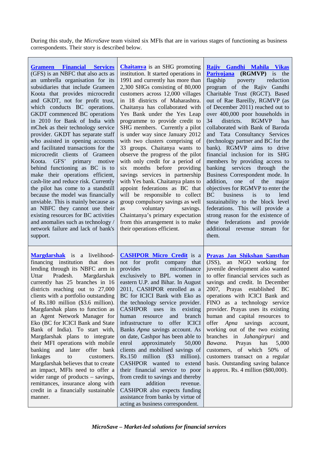During this study, the *MicroSave* team visited six MFIs that are in various stages of functioning as business correspondents. Their story is described below.

| <b>Grameen Financial Services</b><br>(GFS) is an NBFC that also acts as<br>an umbrella organisation for its<br>subsidiaries that include Grameen<br>Koota that provides microcredit<br>and GKDT, not for profit trust,<br>which conducts BC operations.<br>GKDT commenced BC operations<br>in 2010 for Bank of India with<br>mChek as their technology service<br>provider. GKDT has separate staff<br>who assisted in opening accounts<br>and facilitated transactions for the<br>microcredit clients of Grameen<br>Koota. GFS' primary motive<br>behind functioning as BC is to<br>make their operations efficient,<br>cash-lite and reduce risk. Currently<br>the pilot has come to a standstill<br>because the model was financially<br>unviable. This is mainly because as<br>an NBFC they cannot use their<br>existing resources for BC activities<br>and anomalies such as technology /<br>network failure and lack of bank's<br>support. | <b>Chaitanya</b> is an SHG promoting<br>institution. It started operations in<br>1991 and currently has more than<br>2,300 SHGs consisting of 80,000<br>customers across 12,000 villages<br>in 18 districts of Maharashtra.<br>Chaitanya has collaborated with<br>Yes Bank under the Yes Leap<br>programme to provide credit to<br>SHG members. Currently a pilot<br>is under way since January 2012<br>with two clusters comprising of<br>33 groups. Chaitanya wants to<br>observe the progress of the pilot<br>with only credit for a period of<br>six months before providing<br>savings services in partnership<br>with Yes bank. Chaitanya plans to<br>appoint federations as BC that<br>will be responsible to collect<br>group compulsory savings as well<br>voluntary<br>savings.<br>as<br>Chaintanya's primary expectation<br>from this arrangement is to make<br>their operations efficient. | Rajiv Gandhi Mahila Vikas<br><b>Pariyojana</b> ( <b>RGMVP</b> ) is the<br>flagship<br>poverty<br>reduction<br>program of the Rajiv Gandhi<br>Charitable Trust (RGCT). Based<br>out of Rae Bareilly, RGMVP (as<br>of December 2011) reached out to<br>over 400,000 poor households in<br>districts.<br><b>RGMVP</b><br>34<br>has<br>collaborated with Bank of Baroda<br>and Tata Consultancy Services<br>(technology partner and BC for the<br>bank). RGMVP aims to drive<br>financial inclusion for its SHG<br>members by providing access to<br>services through the<br>banking<br>Business Correspondent mode. In<br>addition,<br>of the<br>one<br>major<br>objectives for RGMVP to enter the<br><b>BC</b><br>business<br>lend<br>is<br>to<br>sustainability to the block level<br>federations. This will provide a<br>strong reason for the existence of<br>these federations and provide<br>additional revenue stream for<br>them. |
|--------------------------------------------------------------------------------------------------------------------------------------------------------------------------------------------------------------------------------------------------------------------------------------------------------------------------------------------------------------------------------------------------------------------------------------------------------------------------------------------------------------------------------------------------------------------------------------------------------------------------------------------------------------------------------------------------------------------------------------------------------------------------------------------------------------------------------------------------------------------------------------------------------------------------------------------------|--------------------------------------------------------------------------------------------------------------------------------------------------------------------------------------------------------------------------------------------------------------------------------------------------------------------------------------------------------------------------------------------------------------------------------------------------------------------------------------------------------------------------------------------------------------------------------------------------------------------------------------------------------------------------------------------------------------------------------------------------------------------------------------------------------------------------------------------------------------------------------------------------------|----------------------------------------------------------------------------------------------------------------------------------------------------------------------------------------------------------------------------------------------------------------------------------------------------------------------------------------------------------------------------------------------------------------------------------------------------------------------------------------------------------------------------------------------------------------------------------------------------------------------------------------------------------------------------------------------------------------------------------------------------------------------------------------------------------------------------------------------------------------------------------------------------------------------------------------|
| <b>Margdarshak</b> is a livelihood-<br>financing institution<br>that does<br>lending through its NBFC arm in<br>Pradesh.<br>Margdarshak<br>Uttar<br>currently has 25 branches in 16<br>districts reaching out to 27,000<br>clients with a portfolio outstanding<br>of $Rs.180$ million $(\$3.6$ million).<br>Margdarshak plans to function as<br>an Agent Network Manager for<br>Eko (BC for ICICI Bank and State<br>Bank of India). To start with,<br>Margdarshak plans to integrate<br>their MFI operations with mobile<br>banking and later offer bank<br>linkages<br>to<br>customers.<br>Margdarshak believes that to create<br>an impact, MFIs need to offer a<br>wider range of products $-$ savings,<br>remittances, insurance along with<br>credit in a financially sustainable<br>manner.                                                                                                                                               | <b>CASHPOR Micro Credit</b> is a<br>not for profit company that<br>microfinance<br>provides<br>exclusively to BPL women in<br>eastern U.P. and Bihar. In August<br>2011, CASHPOR enrolled as a<br>BC for ICICI Bank with Eko as<br>the technology service provider.<br>CASHPOR uses<br>its<br>existing<br>branch<br>human<br>resource<br>and<br>infrastructure<br>offer<br><b>ICICI</b><br>to<br>Banks Apna savings account. As<br>on date, Cashpor has been able to<br>enrol<br>approximately<br>50,000<br>clients and mobilised savings of<br>Rs.150 million (\$3 million).<br>CASHPOR wanted to extend<br>their financial service to poor<br>from credit to savings and thereby<br>addition<br>revenue.<br>earn<br>CASHPOR also expects funding<br>assistance from banks by virtue of<br>acting as business correspondent.                                                                          | Prayas Jan Shikshan Sansthan<br>(JSS), an NGO working for<br>juvenile development also wanted<br>to offer financial services such as<br>savings and credit. In December<br>2007, Prayas established<br><b>BC</b><br>operations with ICICI Bank and<br>FINO as a technology service<br>provider. Prayas uses its existing<br>human and capital resources to<br>offer <i>Apna</i><br>savings<br>account,<br>working out of the two existing<br>branches in <i>Jahangirpuri</i> and<br>Prayas<br>Bawana.<br>has<br>5,000<br>customers, of which 50% of<br>customers transact on a regular<br>basis. Outstanding saving balance<br>is approx. Rs. 4 million (\$80,000).                                                                                                                                                                                                                                                                    |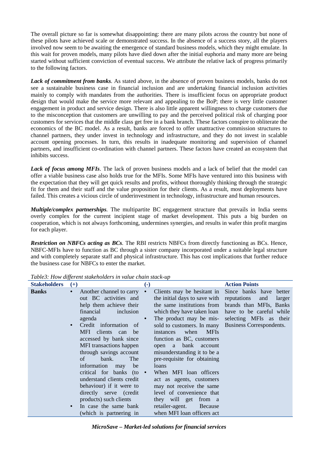The overall picture so far is somewhat disappointing: there are many pilots across the country but none of these pilots have achieved scale or demonstrated success. In the absence of a success story, all the players involved now seem to be awaiting the emergence of standard business models, which they might emulate. In this wait for proven models, many pilots have died down after the initial euphoria and many more are being started without sufficient conviction of eventual success. We attribute the relative lack of progress primarily to the following factors.

*Lack of commitment from banks.* As stated above, in the absence of proven business models, banks do not see a sustainable business case in financial inclusion and are undertaking financial inclusion activities mainly to comply with mandates from the authorities. There is insufficient focus on appropriate product design that would make the service more relevant and appealing to the BoP; there is very little customer engagement in product and service design. There is also little apparent willingness to charge customers due to the misconception that customers are unwilling to pay and the perceived political risk of charging poor customers for services that the middle class get free in a bank branch. These factors conspire to obliterate the economics of the BC model. As a result, banks are forced to offer unattractive commission structures to channel partners, they under invest in technology and infrastructure, and they do not invest in scalable account opening processes. In turn, this results in inadequate monitoring and supervision of channel partners, and insufficient co-ordination with channel partners. These factors have created an ecosystem that inhibits success.

*Lack of focus among MFIs*. The lack of proven business models and a lack of belief that the model can offer a viable business case also holds true for the MFIs. Some MFIs have ventured into this business with the expectation that they will get quick results and profits, without thoroughly thinking through the strategic fit for them and their staff and the value proposition for their clients. As a result, most deployments have failed. This creates a vicious circle of underinvestment in technology, infrastructure and human resources.

*Multiple/complex partnerships.* The multipartite BC engagement structure that prevails in India seems overly complex for the current incipient stage of market development. This puts a big burden on cooperation, which is not always forthcoming, undermines synergies, and results in wafer thin profit margins for each player.

*Restriction on NBFCs acting as BCs.* The RBI restricts NBFCs from directly functioning as BCs. Hence, NBFC-MFIs have to function as BC through a sister company incorporated under a suitable legal structure and with completely separate staff and physical infrastructure. This has cost implications that further reduce the business case for NBFCs to enter the market.

| <b>Stakeholders</b> | $^{(+)}$  |                                  | $\left( -\right)$ |                                  | <b>Action Points</b>         |
|---------------------|-----------|----------------------------------|-------------------|----------------------------------|------------------------------|
| <b>Banks</b>        | $\bullet$ | Another channel to carry         |                   | Clients may be hesitant in       | Since banks have better      |
|                     |           | out BC activities and            |                   | the initial days to save with    | reputations<br>larger<br>and |
|                     |           | help them achieve their          |                   | the same institutions from       | brands than MFIs, Banks      |
|                     |           | financial<br>inclusion           |                   | which they have taken loan       | have to be careful while     |
|                     |           | agenda                           |                   | The product may be mis-          | selecting MFIs as their      |
|                     |           | Credit information of            |                   | sold to customers. In many       | Business Correspondents.     |
|                     |           | MFI<br>clients can<br>be         |                   | <b>MFIs</b><br>when<br>instances |                              |
|                     |           | accessed by bank since           |                   | function as BC, customers        |                              |
|                     |           | MFI transactions happen          |                   | open a bank account              |                              |
|                     |           | through savings account          |                   | misunderstanding it to be a      |                              |
|                     |           | The<br>bank.<br>of               |                   | pre-requisite for obtaining      |                              |
|                     |           | information<br>be<br>may         |                   | loans                            |                              |
|                     |           | critical for banks (to $\bullet$ |                   | When MFI loan officers           |                              |
|                     |           | understand clients credit        |                   | act as agents, customers         |                              |
|                     |           | behaviour) if it were to         |                   | may not receive the same         |                              |
|                     |           | directly serve (credit           |                   | level of convenience that        |                              |
|                     |           | products) such clients           |                   | they will get from a             |                              |
|                     |           | In case the same bank            |                   | retailer-agent.<br>Because       |                              |
|                     |           | (which is partnering in          |                   | when MFI loan officers act       |                              |

*Table3: How different stakeholders in value chain stack-up*

*MicroSave – Market-led solutions for financial services*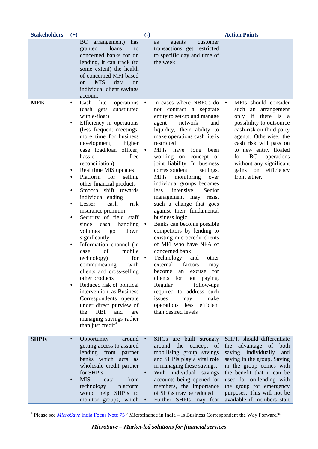| <b>Stakeholders</b> | $(+)$                                                |                                                                                                                                                                                                                                                                                                                                                                                                                                                                                                                                                                                                                                                                                                                                                                                                                                                                                                        | $\left( \text{-} \right)$           |                                                                                                                                                                                                                                                                                                                                                                                                                                                                                                                                                                                                                                                                                                                                                                                                                                                                                                                          | <b>Action Points</b>                                                                                                                                                                                                                                                                                                        |
|---------------------|------------------------------------------------------|--------------------------------------------------------------------------------------------------------------------------------------------------------------------------------------------------------------------------------------------------------------------------------------------------------------------------------------------------------------------------------------------------------------------------------------------------------------------------------------------------------------------------------------------------------------------------------------------------------------------------------------------------------------------------------------------------------------------------------------------------------------------------------------------------------------------------------------------------------------------------------------------------------|-------------------------------------|--------------------------------------------------------------------------------------------------------------------------------------------------------------------------------------------------------------------------------------------------------------------------------------------------------------------------------------------------------------------------------------------------------------------------------------------------------------------------------------------------------------------------------------------------------------------------------------------------------------------------------------------------------------------------------------------------------------------------------------------------------------------------------------------------------------------------------------------------------------------------------------------------------------------------|-----------------------------------------------------------------------------------------------------------------------------------------------------------------------------------------------------------------------------------------------------------------------------------------------------------------------------|
|                     |                                                      | <b>BC</b><br>arrangement)<br>has<br>granted<br>loans<br>to<br>concerned banks for on<br>lending, it can track (to<br>some extent) the health<br>of concerned MFI based<br><b>MIS</b><br>data<br><sub>on</sub><br><sub>on</sub><br>individual client savings<br>account                                                                                                                                                                                                                                                                                                                                                                                                                                                                                                                                                                                                                                 |                                     | agents<br>customer<br>as<br>transactions get restricted<br>to specific day and time of<br>the week                                                                                                                                                                                                                                                                                                                                                                                                                                                                                                                                                                                                                                                                                                                                                                                                                       |                                                                                                                                                                                                                                                                                                                             |
| <b>MFIs</b>         | ٠<br>$\bullet$<br>٠<br>٠<br>٠<br>$\bullet$<br>٠<br>٠ | operations<br>Cash<br>lite<br>substituted<br>(cash gets)<br>with e-float)<br>Efficiency in operations<br>(less frequent meetings,<br>more time for business<br>development,<br>higher<br>case load/loan officer,<br>hassle<br>free<br>reconciliation)<br>Real time MIS updates<br>Platform<br>for<br>selling<br>other financial products<br>Smooth shift towards<br>individual lending<br>risk<br>cash<br>Lesser<br>insurance premium<br>Security of field staff<br>since<br>cash<br>handling<br>volumes<br>down<br>go<br>significantly<br>Information channel (in<br>of<br>mobile<br>case<br>for<br>technology)<br>communicating<br>with<br>clients and cross-selling<br>other products<br>Reduced risk of political<br>intervention, as Business<br>Correspondents operate<br>under direct purview of<br><b>RBI</b><br>and<br>the<br>are<br>managing savings rather<br>than just credit <sup>4</sup> | $\bullet$<br>$\bullet$<br>$\bullet$ | In cases where NBFCs do<br>not contract a separate<br>entity to set-up and manage<br>network<br>agent<br>and<br>liquidity, their ability to<br>make operations cash lite is<br>restricted<br>MFIs have<br>long been<br>working on<br>concept of<br>joint liability. In business<br>correspondent<br>settings,<br><b>MFIs</b><br>monitoring<br>over<br>individual groups becomes<br>intensive.<br>Senior<br>less<br>management may resist<br>such a change that goes<br>against their fundamental<br>business logic<br>Banks can become possible<br>competitors by lending to<br>existing microcredit clients<br>of MFI who have NFA of<br>concerned bank<br>other<br>Technology<br>and<br>factors<br>external<br>may<br>become<br>excuse<br>an<br>for<br>clients for<br>not paying.<br>follow-ups<br>Regular<br>required to address such<br>make<br>issues<br>may<br>efficient<br>operations less<br>than desired levels | MFIs should consider<br>$\bullet$<br>such an arrangement<br>only if there is a<br>possibility to outsource<br>cash-risk on third party<br>agents. Otherwise, the<br>cash risk will pass on<br>to new entity floated<br><b>BC</b><br>for<br>operations<br>without any significant<br>gains on<br>efficiency<br>front either. |
| <b>SHPIs</b>        | $\bullet$                                            | Opportunity<br>around $\bullet$<br>getting access to assured<br>lending from partner<br>banks which acts as<br>wholesale credit partner<br>for SHPIs<br><b>MIS</b><br>data<br>from<br>technology<br>platform<br>would help SHPIs to<br>monitor groups, which                                                                                                                                                                                                                                                                                                                                                                                                                                                                                                                                                                                                                                           |                                     | SHGs are built strongly<br>around the concept of<br>mobilising group savings<br>and SHPIs play a vital role<br>in managing these savings.<br>With individual savings<br>accounts being opened for<br>members, the importance<br>of SHGs may be reduced<br>Further SHPIs may fear                                                                                                                                                                                                                                                                                                                                                                                                                                                                                                                                                                                                                                         | SHPIs should differentiate<br>the advantage of both<br>saving individually and<br>saving in the group. Saving<br>in the group comes with<br>the benefit that it can be<br>used for on-lending with<br>the group for emergency<br>purposes. This will not be<br>available if members start                                   |

<span id="page-11-0"></span><sup>4</sup> Please see *MicroSave* [India Focus Note 75](http://www.microsave.org/sites/files/technicalBriefs/indiaFocusNotes/IFN_75_Microfinance_in_India-Is_BC_the_Way_Forward.pdf)*"* Microfinance in India – Is Business Correspondent the Way Forward?"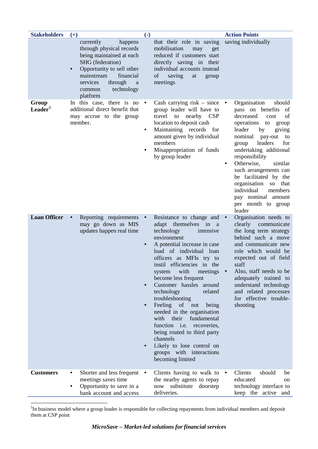| <b>Stakeholders</b>          | $(+)$                                                                                                                                                                                                                    | $\left( \text{-} \right)$                                     |                                                                                                                                                                                                                                                                                                                                                                                                                                                                                                                                                                                                                      | <b>Action Points</b>                                                                                                                                                                                                                                                                                                                                                                                                                                                 |
|------------------------------|--------------------------------------------------------------------------------------------------------------------------------------------------------------------------------------------------------------------------|---------------------------------------------------------------|----------------------------------------------------------------------------------------------------------------------------------------------------------------------------------------------------------------------------------------------------------------------------------------------------------------------------------------------------------------------------------------------------------------------------------------------------------------------------------------------------------------------------------------------------------------------------------------------------------------------|----------------------------------------------------------------------------------------------------------------------------------------------------------------------------------------------------------------------------------------------------------------------------------------------------------------------------------------------------------------------------------------------------------------------------------------------------------------------|
|                              | currently<br>happens<br>through physical records<br>being maintained at each<br>SHG (federation)<br>Opportunity to sell other<br>financial<br>mainstream<br>services<br>through<br>a<br>technology<br>common<br>platform |                                                               | that their role in saving<br>mobilisation<br>may<br>get<br>reduced if customers start<br>directly saving in their<br>individual accounts instead<br>of<br>saving<br>at<br>group<br>meetings                                                                                                                                                                                                                                                                                                                                                                                                                          | saving individually                                                                                                                                                                                                                                                                                                                                                                                                                                                  |
| Group<br>Leader <sup>5</sup> | In this case, there is no<br>additional direct benefit that<br>may accrue to the group<br>member.                                                                                                                        | $\bullet$<br>$\bullet$                                        | Cash carrying risk - since<br>group leader will have to<br>travel to nearby CSP<br>location to deposit cash<br>Maintaining records for<br>amount given by individual<br>members<br>Misappropriation of funds<br>by group leader                                                                                                                                                                                                                                                                                                                                                                                      | Organisation<br>should<br>$\bullet$<br>pass on benefits<br>of<br>decreased<br>of<br>cost<br>operations<br>to<br>group<br>leader<br>giving<br>by<br>nominal<br>pay-out<br>to<br>leaders<br>for<br>group<br>undertaking additional<br>responsibility<br>Otherwise,<br>similar<br>$\bullet$<br>such arrangements can<br>be facilitated by the<br>organisation<br>SO <sub>1</sub><br>that<br>individual<br>members<br>pay nominal amount<br>per month to group<br>leader |
| <b>Loan Officer</b>          | Reporting requirements<br>$\bullet$<br>may go down as MIS<br>updates happen real time                                                                                                                                    | $\bullet$<br>$\bullet$<br>$\bullet$<br>$\bullet$<br>$\bullet$ | Resistance to change and •<br>adapt themselves in<br><sub>a</sub><br>technology<br>intensive<br>environment<br>A potential increase in case<br>load of individual loan<br>officers as MFIs try to<br>instil efficiencies in the<br>with<br>meetings<br>system<br>become less frequent<br>Customer hassles around<br>technology<br>related<br>troubleshooting<br>Feeling of not<br>being<br>needed in the organisation<br>their<br>fundamental<br>with<br>function <i>i.e.</i><br>recoveries,<br>being routed to third party<br>channels<br>Likely to lose control on<br>groups with interactions<br>becoming limited | Organisation needs to<br>clearly<br>communicate<br>the long term strategy<br>behind such a move<br>and communicate new<br>role which would be<br>expected out of field<br>staff<br>Also, staff needs to be<br>adequately trained to<br>understand technology<br>and related processes<br>for effective trouble-<br>shooting                                                                                                                                          |
| <b>Customers</b>             | Shorter and less frequent<br>٠<br>meetings saves time<br>Opportunity to save in a<br>bank account and access                                                                                                             | $\bullet$                                                     | Clients having to walk to<br>the nearby agents to repay<br>substitute<br>now<br>doorstep<br>deliveries.                                                                                                                                                                                                                                                                                                                                                                                                                                                                                                              | Clients<br>should<br>be<br>$\bullet$<br>educated<br>on<br>technology interface to<br>keep the active and                                                                                                                                                                                                                                                                                                                                                             |

<span id="page-12-0"></span>5  ${}^{5}$ In business model where a group leader is responsible for collecting repayments from individual members and deposit them at CSP point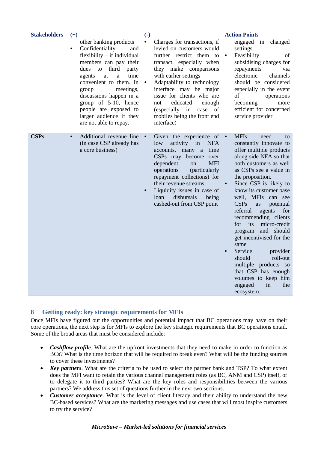| <b>Stakeholders</b> | $(+)$                                                                                                                                                                                                                                                                                                                                                                 | $\left( -\right)$                                                                                                                                                                                                                                                                                                                                                                             | <b>Action Points</b>                                                                                                                                                                                                                                                                                                                                                                                                                                                                                                                                                                                     |
|---------------------|-----------------------------------------------------------------------------------------------------------------------------------------------------------------------------------------------------------------------------------------------------------------------------------------------------------------------------------------------------------------------|-----------------------------------------------------------------------------------------------------------------------------------------------------------------------------------------------------------------------------------------------------------------------------------------------------------------------------------------------------------------------------------------------|----------------------------------------------------------------------------------------------------------------------------------------------------------------------------------------------------------------------------------------------------------------------------------------------------------------------------------------------------------------------------------------------------------------------------------------------------------------------------------------------------------------------------------------------------------------------------------------------------------|
|                     | other banking products<br>Confidentiality<br>$\bullet$<br>and<br>$flexibility - if individual$<br>members can pay their<br>dues<br>to<br>third<br>party<br>time<br>at<br>agents<br>a<br>convenient to them. In<br>meetings,<br>group<br>discussions happen in a<br>group of 5-10, hence<br>people are exposed to<br>larger audience if they<br>are not able to repay. | $\bullet$<br>Charges for transactions, if<br>levied on customers would<br>further restrict them to<br>transact, especially when<br>they make comparisons<br>with earlier settings<br>Adaptability to technology<br>$\bullet$<br>interface may be major<br>issue for clients who are<br>educated<br>not<br>enough<br>(especially in<br>case<br>of<br>mobiles being the front end<br>interface) | engaged in changed<br>settings<br>Feasibility<br>οf<br>subsidising charges for<br>repayments<br>via<br>electronic<br>channels<br>should be considered<br>especially in the event<br>of<br>operations<br>becoming<br>more<br>efficient for concerned<br>service provider                                                                                                                                                                                                                                                                                                                                  |
| <b>CSPs</b>         | Additional revenue line<br>(in case CSP already has<br>a core business)                                                                                                                                                                                                                                                                                               | Given the experience of $\bullet$<br>activity<br>in<br><b>NFA</b><br>low<br>accounts, many a<br>time<br>CSPs may become over<br><b>MFI</b><br>dependent<br><sub>on</sub><br>operations<br>(particularly<br>repayment collections) for<br>their revenue streams<br>Liquidity issues in case of<br>disbursals<br>loan<br>being<br>cashed-out from CSP point                                     | <b>MFIs</b><br>need<br>to<br>constantly innovate to<br>offer multiple products<br>along side NFA so that<br>both customers as well<br>as CSPs see a value in<br>the proposition.<br>Since CSP is likely to<br>know its customer base<br>well, MFIs<br>can see<br><b>CSPs</b><br>potential<br>as<br>referral<br>agents<br>for<br>recommending clients<br>for<br>its<br>micro-credit<br>and should<br>program<br>get incentivised for the<br>same<br>Service<br>provider<br>should<br>roll-out<br>multiple products so<br>that CSP has enough<br>volumes to keep him<br>engaged<br>in<br>the<br>ecosystem. |

## <span id="page-13-0"></span>**8 Getting ready: key strategic requirements for MFIs**

Once MFIs have figured out the opportunities and potential impact that BC operations may have on their core operations, the next step is for MFIs to explore the key strategic requirements that BC operations entail. Some of the broad areas that must be considered include:

- *Cashflow profile*. What are the upfront investments that they need to make in order to function as BCs? What is the time horizon that will be required to break even? What will be the funding sources to cover these investments?
- *Key partners*. What are the criteria to be used to select the partner bank and TSP? To what extent does the MFI want to retain the various channel management roles (as BC, ANM and CSP) itself, or to delegate it to third parties? What are the key roles and responsibilities between the various partners? We address this set of questions further in the next two sections.
- *Customer acceptance*. What is the level of client literacy and their ability to understand the new BC-based services? What are the marketing messages and use cases that will most inspire customers to try the service?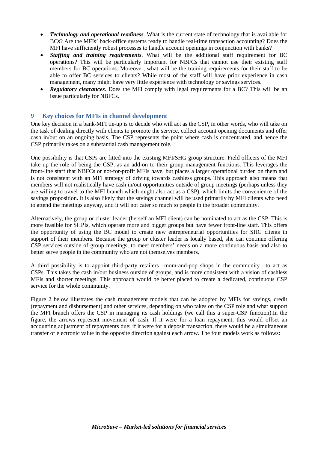- *Technology and operational readiness*. What is the current state of technology that is available for BCs? Are the MFIs' back-office systems ready to handle real-time transaction accounting? Does the MFI have sufficiently robust processes to handle account openings in conjunction with banks?
- *Staffing and training requirements*. What will be the additional staff requirement for BC operations? This will be particularly important for NBFCs that cannot use their existing staff members for BC operations. Moreover, what will be the training requirements for their staff to be able to offer BC services to clients? While most of the staff will have prior experience in cash management, many might have very little experience with technology or savings services.
- *Regulatory clearances*. Does the MFI comply with legal requirements for a BC? This will be an issue particularly for NBFCs.

#### <span id="page-14-0"></span>**9 Key choices for MFIs in channel development**

One key decision in a bank-MFI tie-up is to decide who will act as the CSP, in other words, who will take on the task of dealing directly with clients to promote the service, collect account opening documents and offer cash in/out on an ongoing basis. The CSP represents the point where cash is concentrated, and hence the CSP primarily takes on a substantial cash management role.

One possibility is that CSPs are fitted into the existing MFI/SHG group structure. Field officers of the MFI take up the role of being the CSP, as an add-on to their group management functions. This leverages the front-line staff that NBFCs or not-for-profit MFIs have, but places a larger operational burden on them and is not consistent with an MFI strategy of driving towards cashless groups. This approach also means that members will not realistically have cash in/out opportunities outside of group meetings (perhaps unless they are willing to travel to the MFI branch which might also act as a CSP), which limits the convenience of the savings proposition. It is also likely that the savings channel will be used primarily by MFI clients who need to attend the meetings anyway, and it will not cater so much to people in the broader community.

Alternatively, the group or cluster leader (herself an MFI client) can be nominated to act as the CSP. This is more feasible for SHPIs, which operate more and bigger groups but have fewer front-line staff. This offers the opportunity of using the BC model to create new entrepreneurial opportunities for SHG clients in support of their members. Because the group or cluster leader is locally based, she can continue offering CSP services outside of group meetings, to meet members' needs on a more continuous basis and also to better serve people in the community who are not themselves members.

A third possibility is to appoint third-party retailers –mom-and-pop shops in the community—to act as CSPs. This takes the cash in/out business outside of groups, and is more consistent with a vision of cashless MFIs and shorter meetings. This approach would be better placed to create a dedicated, continuous CSP service for the whole community.

Figure 2 below illustrates the cash management models that can be adopted by MFIs for savings, credit (repayment and disbursement) and other services, depending on who takes on the CSP role and what support the MFI branch offers the CSP in managing its cash holdings (we call this a super-CSP function).In the figure, the arrows represent movement of cash. If it were for a loan repayment, this would offset an accounting adjustment of repayments due; if it were for a deposit transaction, there would be a simultaneous transfer of electronic value in the opposite direction against each arrow. The four models work as follows: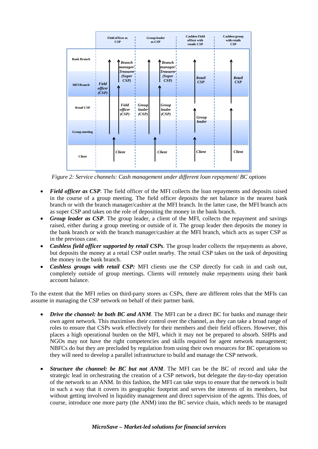|                      |                           | <b>Field officer as</b><br>CSP | <b>Group leader</b><br>as CSP   |                                   | <b>Cashless Field</b><br>officer with<br>retails CSP | <b>Cashless group</b><br>with retails<br>CSP |
|----------------------|---------------------------|--------------------------------|---------------------------------|-----------------------------------|------------------------------------------------------|----------------------------------------------|
| <b>Bank Branch</b>   |                           | <b>Branch</b><br>manager/      |                                 | <b>Branch</b><br>manager'         |                                                      |                                              |
| <b>MFI Branch</b>    | Field<br>officer<br>(CSP) | Treasurer!<br>(Super<br>CSP    |                                 | <b>Treasurer</b><br>(Super<br>CSP | Retail<br>CSP                                        | <b>Retail</b><br>CSP                         |
| <b>Retail CSP</b>    |                           | Field<br>officer<br>(CSP)      | <b>Group</b><br>leader<br>(CSP) | Group<br>leader<br>(CSP)          | Group                                                |                                              |
| <b>Group meeting</b> |                           |                                |                                 |                                   | leader                                               |                                              |
| <b>Client</b>        |                           | <b>Client</b>                  |                                 | <b>Client</b>                     | <b>Client</b>                                        | <b>Client</b>                                |

*Figure 2: Service channels: Cash management under different loan repayment/ BC options*

- *Field officer as CSP*. The field officer of the MFI collects the loan repayments and deposits raised in the course of a group meeting. The field officer deposits the net balance in the nearest bank branch or with the branch manager/cashier at the MFI branch. In the latter case, the MFI branch acts as super CSP and takes on the role of depositing the money in the bank branch.
- *Group leader as CSP*. The group leader, a client of the MFI, collects the repayment and savings raised, either during a group meeting or outside of it. The group leader then deposits the money in the bank branch or with the branch manager/cashier at the MFI branch, which acts as super CSP as in the previous case.
- *Cashless field officer supported by retail CSPs*. The group leader collects the repayments as above, but deposits the money at a retail CSP outlet nearby. The retail CSP takes on the task of depositing the money in the bank branch.
- *Cashless groups with retail CSP:* MFI clients use the CSP directly for cash in and cash out, completely outside of group meetings. Clients will remotely make repayments using their bank account balance.

To the extent that the MFI relies on third-party stores as CSPs, there are different roles that the MFIs can assume in managing the CSP network on behalf of their partner bank.

- *Drive the channel: be both BC and ANM*. The MFI can be a direct BC for banks and manage their own agent network. This maximises their control over the channel, as they can take a broad range of roles to ensure that CSPs work effectively for their members and their field officers. However, this places a high operational burden on the MFI, which it may not be prepared to absorb. SHPIs and NGOs may not have the right competencies and skills required for agent network management; NBFCs do but they are precluded by regulation from using their own resources for BC operations so they will need to develop a parallel infrastructure to build and manage the CSP network.
- *Structure the channel: be BC but not ANM*. The MFI can be the BC of record and take the strategic lead in orchestrating the creation of a CSP network, but delegate the day-to-day operation of the network to an ANM. In this fashion, the MFI can take steps to ensure that the network is built in such a way that it covers its geographic footprint and serves the interests of its members, but without getting involved in liquidity management and direct supervision of the agents. This does, of course, introduce one more party (the ANM) into the BC service chain, which needs to be managed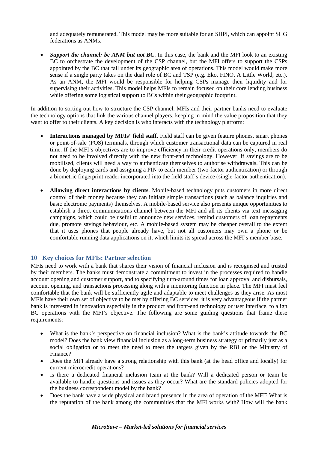and adequately remunerated. This model may be more suitable for an SHPI, which can appoint SHG federations as ANMs.

• *Support the channel: be ANM but not BC*. In this case, the bank and the MFI look to an existing BC to orchestrate the development of the CSP channel, but the MFI offers to support the CSPs appointed by the BC that fall under its geographic area of operations. This model would make more sense if a single party takes on the dual role of BC and TSP (e.g. Eko, FINO, A Little World, etc.). As an ANM, the MFI would be responsible for helping CSPs manage their liquidity and for supervising their activities. This model helps MFIs to remain focused on their core lending business while offering some logistical support to BCs within their geographic footprint.

In addition to sorting out how to structure the CSP channel, MFIs and their partner banks need to evaluate the technology options that link the various channel players, keeping in mind the value proposition that they want to offer to their clients. A key decision is who interacts with the technology platform:

- **Interactions managed by MFIs' field staff**. Field staff can be given feature phones, smart phones or point-of-sale (POS) terminals, through which customer transactional data can be captured in real time. If the MFI's objectives are to improve efficiency in their credit operations only, members do not need to be involved directly with the new front-end technology. However, if savings are to be mobilised, clients will need a way to authenticate themselves to authorise withdrawals. This can be done by deploying cards and assigning a PIN to each member (two-factor authentication) or through a biometric fingerprint reader incorporated into the field staff's device (single-factor authentication).
- **Allowing direct interactions by clients**. Mobile-based technology puts customers in more direct control of their money because they can initiate simple transactions (such as balance inquiries and basic electronic payments) themselves. A mobile-based service also presents unique opportunities to establish a direct communications channel between the MFI and all its clients via text messaging campaigns, which could be useful to announce new services, remind customers of loan repayments due, promote savings behaviour, etc. A mobile-based system may be cheaper overall to the extent that it uses phones that people already have, but not all customers may own a phone or be comfortable running data applications on it, which limits its spread across the MFI's member base.

#### <span id="page-16-0"></span>**10 Key choices for MFIs: Partner selection**

MFIs need to work with a bank that shares their vision of financial inclusion and is recognised and trusted by their members. The banks must demonstrate a commitment to invest in the processes required to handle account opening and customer support, and to specifying turn-around times for loan approval and disbursals, account opening, and transactions processing along with a monitoring function in place. The MFI must feel comfortable that the bank will be sufficiently agile and adaptable to meet challenges as they arise. As most MFIs have their own set of objective to be met by offering BC services, it is very advantageous if the partner bank is interested in innovation especially in the product and front-end technology or user interface, to align BC operations with the MFI's objective. The following are some guiding questions that frame these requirements:

- What is the bank's perspective on financial inclusion? What is the bank's attitude towards the BC model? Does the bank view financial inclusion as a long-term business strategy or primarily just as a social obligation or to meet the need to meet the targets given by the RBI or the Ministry of Finance?
- Does the MFI already have a strong relationship with this bank (at the head office and locally) for current microcredit operations?
- Is there a dedicated financial inclusion team at the bank? Will a dedicated person or team be available to handle questions and issues as they occur? What are the standard policies adopted for the business correspondent model by the bank?
- Does the bank have a wide physical and brand presence in the area of operation of the MFI? What is the reputation of the bank among the communities that the MFI works with? How will the bank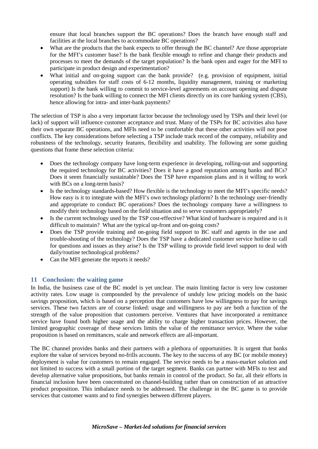ensure that local branches support the BC operations? Does the branch have enough staff and facilities at the local branches to accommodate BC operations?

- What are the products that the bank expects to offer through the BC channel? Are those appropriate for the MFI's customer base? Is the bank flexible enough to refine and change their products and processes to meet the demands of the target population? Is the bank open and eager for the MFI to participate in product design and experimentation?
- What initial and on-going support can the bank provide? (e.g. provision of equipment, initial operating subsidies for staff costs of 6-12 months, liquidity management, training or marketing support) Is the bank willing to commit to service-level agreements on account opening and dispute resolution? Is the bank willing to connect the MFI clients directly on its core banking system (CBS), hence allowing for intra- and inter-bank payments?

The selection of TSP is also a very important factor because the technology used by TSPs and their level (or lack) of support will influence customer acceptance and trust. Many of the TSPs for BC activities also have their own separate BC operations, and MFIs need to be comfortable that these other activities will not pose conflicts. The key considerations before selecting a TSP include track record of the company, reliability and robustness of the technology, security features, flexibility and usability. The following are some guiding questions that frame these selection criteria:

- Does the technology company have long-term experience in developing, rolling-out and supporting the required technology for BC activities? Does it have a good reputation among banks and BCs? Does it seem financially sustainable? Does the TSP have expansion plans and is it willing to work with BCs on a long-term basis?
- Is the technology standards-based? How flexible is the technology to meet the MFI's specific needs? How easy is it to integrate with the MFI's own technology platform? Is the technology user-friendly and appropriate to conduct BC operations? Does the technology company have a willingness to modify their technology based on the field situation and to serve customers appropriately?
- Is the current technology used by the TSP cost-effective? What kind of hardware is required and is it difficult to maintain? What are the typical up-front and on-going costs?
- Does the TSP provide training and on-going field support to BC staff and agents in the use and trouble-shooting of the technology? Does the TSP have a dedicated customer service hotline to call for questions and issues as they arise? Is the TSP willing to provide field level support to deal with daily/routine technological problems?
- <span id="page-17-0"></span>• Can the MFI generate the reports it needs?

#### **11 Conclusion: the waiting game**

In India, the business case of the BC model is yet unclear. The main limiting factor is very low customer activity rates. Low usage is compounded by the prevalence of unduly low pricing models on the basic savings proposition, which is based on a perception that customers have low willingness to pay for savings services. These two factors are of course linked: usage and willingness to pay are both a function of the strength of the value proposition that customers perceive. Ventures that have incorporated a remittance service have found both higher usage and the ability to charge higher transaction prices. However, the limited geographic coverage of these services limits the value of the remittance service. Where the value proposition is based on remittances, scale and network effects are all-important.

The BC channel provides banks and their partners with a plethora of opportunities. It is urgent that banks explore the value of services beyond no-frills accounts. The key to the success of any BC (or mobile money) deployment is value for customers to remain engaged. The service needs to be a mass-market solution and not limited to success with a small portion of the target segment. Banks can partner with MFIs to test and develop alternative value propositions, but banks remain in control of the product. So far, all their efforts in financial inclusion have been concentrated on channel-building rather than on construction of an attractive product proposition. This imbalance needs to be addressed. The challenge in the BC game is to provide services that customer wants and to find synergies between different players.